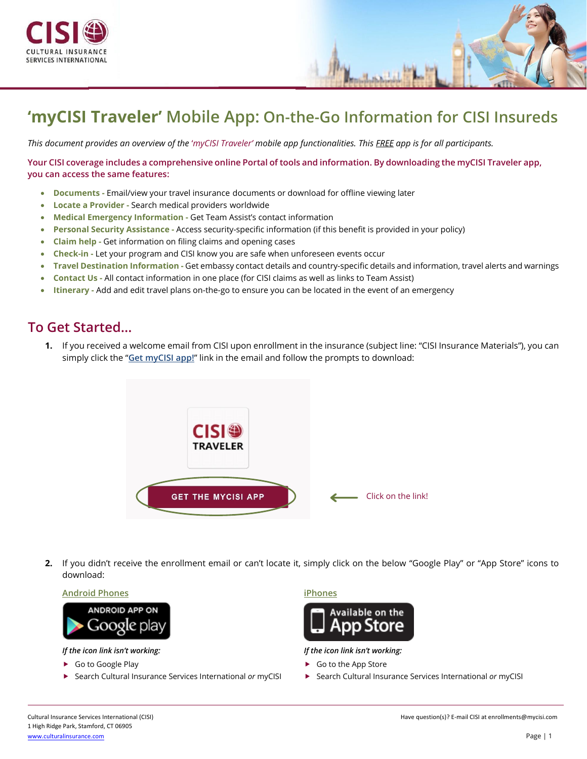



*This document provides an overview of the* '*myCISI Traveler' mobile app functionalities. This FREE app is for all participants.*

**Your CISI coverage includes a comprehensive online Portal of tools and information. By downloading the myCISI Traveler app, you can access the same features:**

- **Documents -** Email/view your travel insurance documents or download for offline viewing later
- **Locate a Provider -** Search medical providers worldwide
- **Medical Emergency Information -** Get Team Assist's contact information
- **Personal Security Assistance -** Access security-specific information (if this benefit is provided in your policy)
- **Claim help -** Get information on filing claims and opening cases
- **Check-in -** Let your program and CISI know you are safe when unforeseen events occur
- **Travel Destination Information -** Get embassy contact details and country-specific details and information, travel alerts and warnings
- **Contact Us -** All contact information in one place (for CISI claims as well as links to Team Assist)
- **Itinerary -** Add and edit travel plans on-the-go to ensure you can be located in the event of an emergency

### **To Get Started…**

**1.** If you received a welcome email from CISI upon enrollment in the insurance (subject line: "CISI Insurance Materials"), you can simply click the "**Get myCISI app!**" link in the email and follow the prompts to download:



**2.** If you didn't receive the enrollment email or can't locate it, simply click on the below "Google Play" or "App Store" icons to download:

#### **Android Phones iPhones**



*If the icon link isn't working: If the icon link isn't working:* 

- 
- 



- ▶ Go to Google Play **Go to Google Play Go to the App Store**
- ▶ Search Cultural Insurance Services International *or* myCISI ▶ Search Cultural Insurance Services International *or* myCISI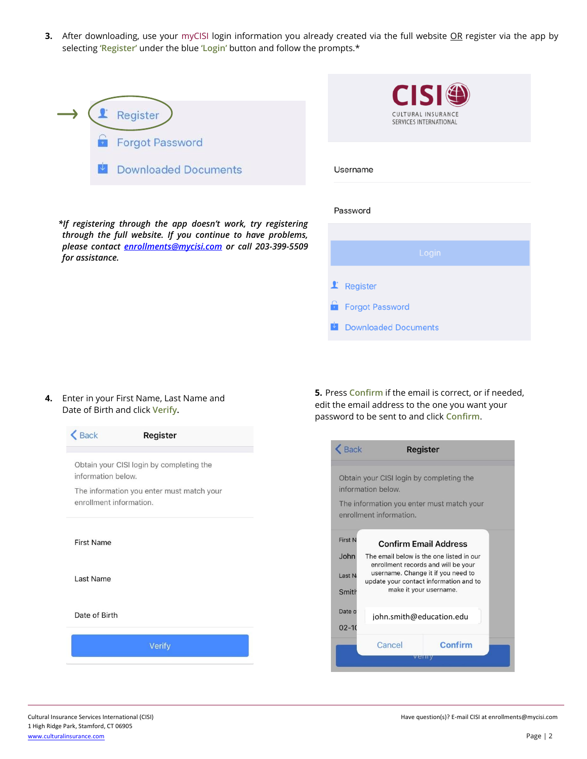**3.** After downloading, use your myCISI login information you already created via the full website OR register via the app by selecting **'Register'** under the blue **'Login'** button and follow the prompts.\*

|  | Register                    |
|--|-----------------------------|
|  | Forgot Password             |
|  | <b>Downloaded Documents</b> |



*\*If registering through the app doesn't work, try registering through the full website. If you continue to have problems, please contact [enrollments@mycisi.com](mailto:enrollments@mycisi.com) or call 203-399-5509 for assistance.* 

# $\mathbf{\mathbf{\mathsf{I}}}$  Register

**Forgot Password** 

**Downloaded Documents** 

#### **4.** Enter in your First Name, Last Name and Date of Birth and click **Verify.**

| information below.      | Obtain your CISI login by completing the  |
|-------------------------|-------------------------------------------|
| enrollment information. | The information you enter must match your |
| <b>First Name</b>       |                                           |
| Last Name               |                                           |
| Date of Birth           |                                           |
|                         |                                           |

**5.** Press **Confirm** if the email is correct, or if needed, edit the email address to the one you want your password to be sent to and click **Confirm**.

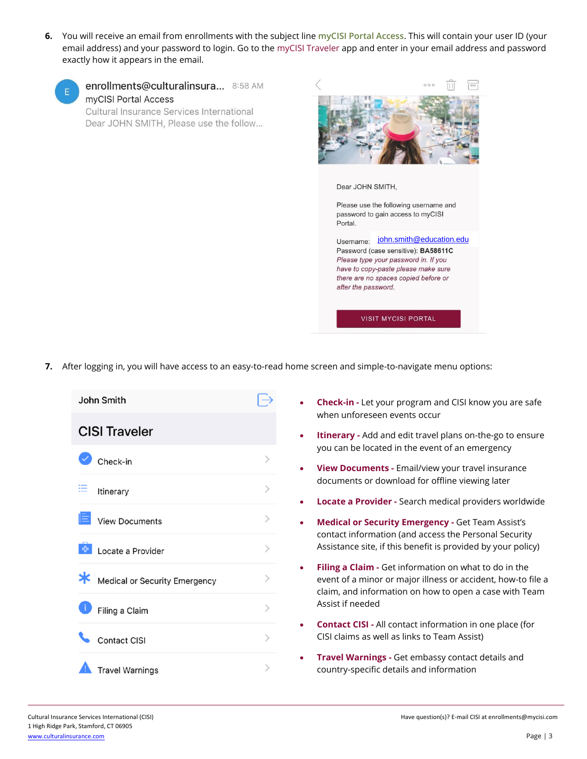**6.** You will receive an email from enrollments with the subject line **myCISI Portal Access**. This will contain your user ID (your email address) and your password to login. Go to the myCISI Traveler app and enter in your email address and password exactly how it appears in the email.



enrollments@culturalinsura... 8:58 AM myCISI Portal Access Cultural Insurance Services International

Dear JOHN SMITH, Please use the follow...

Dear JOHN SMITH,

Please use the following username and password to gain access to myCISI Portal.

Username: [john.smith@education.edu](mailto:john.smith@education.edu) Password (case sensitive): BA58611C Please type your password in. If you have to copy-paste please make sure there are no spaces copied before or after the password.

**VISIT MYCISI PORTAL** 

**7.** After logging in, you will have access to an easy-to-read home screen and simple-to-navigate menu options:



- **Check-in -** Let your program and CISI know you are safe when unforeseen events occur
- **Itinerary -** Add and edit travel plans on-the-go to ensure you can be located in the event of an emergency
- **View Documents -** Email/view your travel insurance documents or download for offline viewing later
- **Locate a Provider -** Search medical providers worldwide
- **Medical or Security Emergency -** Get Team Assist's contact information (and access the Personal Security Assistance site, if this benefit is provided by your policy)
- **Filing a Claim -** Get information on what to do in the event of a minor or major illness or accident, how-to file a claim, and information on how to open a case with Team Assist if needed
- **Contact CISI -** All contact information in one place (for CISI claims as well as links to Team Assist)
- **Travel Warnings -** Get embassy contact details and country-specific details and information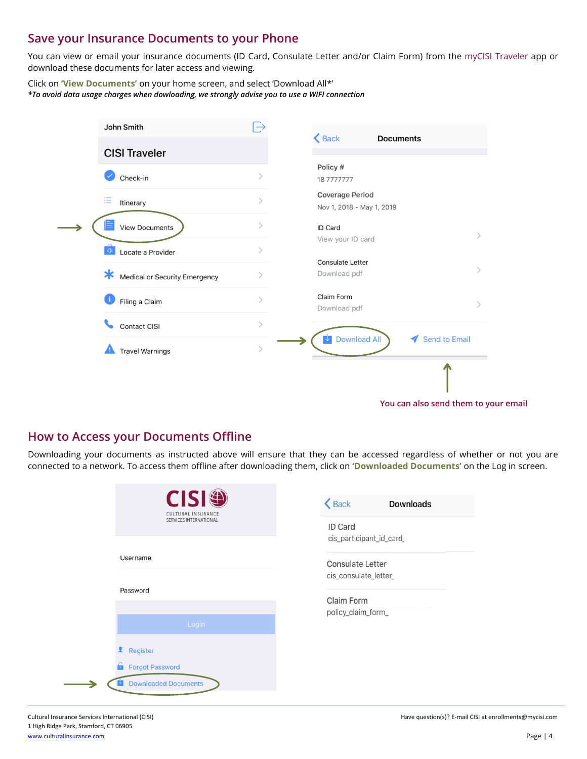### **Save your Insurance Documents to your Phone**

You can view or email your insurance documents (ID Card, Consulate Letter and/or Claim Form) from the myCISI Traveler app or download these documents for later access and viewing.

Click on **'View Documents'** on your home screen, and select 'Download All\*' *\*To avoid data usage charges when dowloading, we strongly advise you to use a WIFI connection*

| John Smith                              |               | $\triangle$ Back<br><b>Documents</b>                |                      |
|-----------------------------------------|---------------|-----------------------------------------------------|----------------------|
| <b>CISI Traveler</b>                    |               |                                                     |                      |
| Check-in                                |               | Policy #<br>187777777                               |                      |
| 這<br>Itinerary                          | $\mathcal{P}$ | <b>Coverage Period</b><br>Nov 1, 2018 - May 1, 2019 |                      |
| <b>View Documents</b>                   | ⋋             | ID Card<br>View your ID card                        |                      |
| 4<br>Locate a Provider                  |               | <b>Consulate Letter</b>                             |                      |
| $\ast$<br>Medical or Security Emergency |               | Download pdf                                        |                      |
| Filing a Claim                          | $\mathcal{P}$ | Claim Form<br>Download pdf                          |                      |
| Contact CISI                            | $\mathcal{P}$ |                                                     |                      |
| <b>Travel Warnings</b>                  |               | <b>Download All</b><br>↓                            | <b>Send to Email</b> |
|                                         |               |                                                     |                      |
|                                         |               |                                                     |                      |

**You can also send them to your email**

#### **How to Access your Documents Offline**

Downloading your documents as instructed above will ensure that they can be accessed regardless of whether or not you are connected to a network. To access them offline after downloading them, click on **'Downloaded Documents'** on the Log in screen.

| <b>CISI</b><br>CULTURAL INSURANCE<br>SERVICES INTERNATIONAL | <b>くBack</b><br><b>Downloads</b><br>ID Card                                  |
|-------------------------------------------------------------|------------------------------------------------------------------------------|
| Username                                                    | cis_participant_id_card_<br><b>Consulate Letter</b><br>cis_consulate_letter_ |
| Password                                                    | Claim Form                                                                   |
| Login                                                       | policy_claim_form_                                                           |
| Register                                                    |                                                                              |
| <b>Forgot Password</b>                                      |                                                                              |
| <b>Downloaded Documents</b>                                 |                                                                              |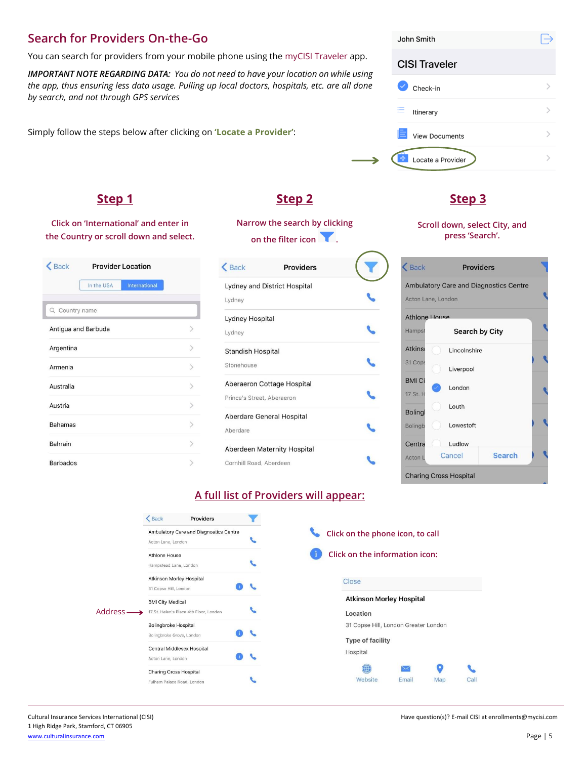## **Search for Providers On-the-Go**

You can search for providers from your mobile phone using the myCISI Traveler app.

*IMPORTANT NOTE REGARDING DATA: You do not need to have your location on while using the app, thus ensuring less data usage. Pulling up local doctors, hospitals, etc. are all done by search, and not through GPS services*

Simply follow the steps below after clicking on **'Locate a Provider'**:

### **Step 1 Step 2 Step 3**

**Click on 'International' and enter in the Country or scroll down and select.**

| <b>くBack</b>    |                     | <b>Provider Location</b> |  |
|-----------------|---------------------|--------------------------|--|
|                 | In the USA          | International            |  |
| Q Country name  |                     |                          |  |
|                 | Antigua and Barbuda |                          |  |
| Argentina       |                     |                          |  |
| Armenia         |                     |                          |  |
| Australia       |                     |                          |  |
| Austria         |                     |                          |  |
| <b>Bahamas</b>  |                     |                          |  |
| Bahrain         |                     |                          |  |
| <b>Barbados</b> |                     |                          |  |

**Narrow the search by clicking on the filter icon .**

| $\leq$ Back                | <b>Providers</b>                   |  |
|----------------------------|------------------------------------|--|
|                            | Lydney and District Hospital       |  |
| Lydney                     |                                    |  |
| Lydney Hospital            |                                    |  |
| Lydney                     |                                    |  |
| <b>Standish Hospital</b>   |                                    |  |
| Stonehouse                 |                                    |  |
|                            | Aberaeron Cottage Hospital         |  |
| Prince's Street, Aberaeron |                                    |  |
|                            | <b>Aberdare General Hospital</b>   |  |
| Aberdare                   |                                    |  |
|                            | <b>Aberdeen Maternity Hospital</b> |  |
| Cornhill Road, Aberdeen    |                                    |  |

#### John Smith **CISI Traveler** Check-in  $\mathcal{P}$  $\mathcal{P}$ **E** Itinerary  $\mathcal{P}$ **View Documents**  $\mathcal{P}$ Locate a Provider

**Scroll down, select City, and press 'Search'.**

|                      |                | <b>Ambulatory Care and Diagnostics Centre</b> |  |
|----------------------|----------------|-----------------------------------------------|--|
| Acton Lane, London   |                |                                               |  |
| <b>Athlone House</b> |                |                                               |  |
| Hampst               | Search by City |                                               |  |
| <b>Atkins</b>        | Lincolnshire   |                                               |  |
| 31 Cops              | Liverpool      |                                               |  |
| <b>BMI Ci</b>        | London         |                                               |  |
| 17 St. H             |                |                                               |  |
| <b>Bolingl</b>       | Louth          |                                               |  |
| <b>Bolingb</b>       | Lowestoft      |                                               |  |
| Centra               | Ludlow         |                                               |  |
| Acton L              | Cancel         | <b>Search</b>                                 |  |

#### **A full list of Providers will appear:**

|          | $\triangle$ Back<br><b>Providers</b>                              |                                             |
|----------|-------------------------------------------------------------------|---------------------------------------------|
|          | Ambulatory Care and Diagnostics Centre<br>Acton Lane, London      | Click on the phone icon, to call            |
|          | <b>Athlone House</b><br>Hampstead Lane, London                    | Click on the information icon:              |
|          | Atkinson Morley Hospital<br>31 Copse Hill, London                 | Close                                       |
| Address- | <b>BMI City Medical</b><br>17 St. Helen's Place 4th Floor, London | <b>Atkinson Morley Hospital</b><br>Location |
|          | <b>Bolingbroke Hospital</b><br>Bolingbroke Grove, London          | 31 Copse Hill, London Greater London        |
|          | Central Middlesex Hospital<br>Acton Lane, London                  | <b>Type of facility</b><br>Hospital         |
|          | <b>Charing Cross Hospital</b><br>Fulham Palace Road, London       | मा<br>Website<br>Email<br>Map               |

Cultural Insurance Services International (CISI) **Have question(s)?** E-mail CISI at enrollments@mycisi.com

Call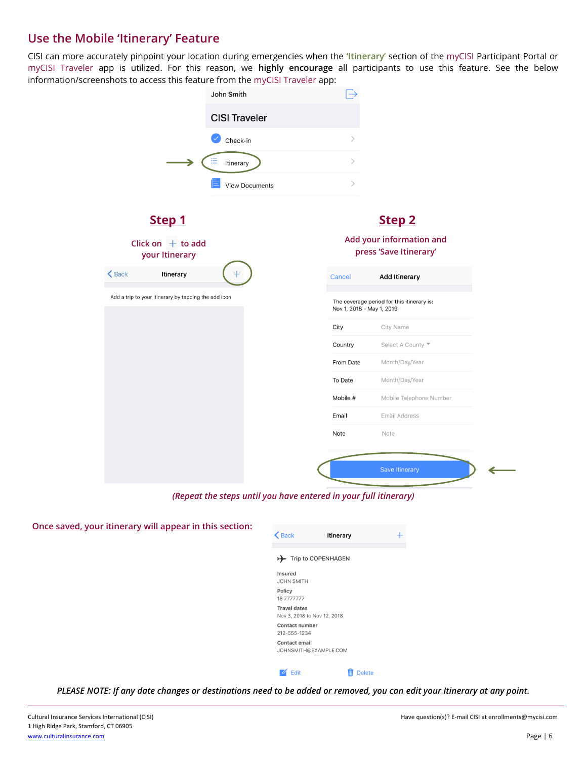## **Use the Mobile 'Itinerary' Feature**

CISI can more accurately pinpoint your location during emergencies when the **'Itinerary'** section of the myCISI Participant Portal or myCISI Traveler app is utilized. For this reason, we **highly encourage** all participants to use this feature. See the below information/screenshots to access this feature from the myCISI Traveler app:

|                                                      | $\rightarrow$             |                                                    |
|------------------------------------------------------|---------------------------|----------------------------------------------------|
| <b>CISI Traveler</b>                                 |                           |                                                    |
| Check-in                                             | $\mathcal{P}$             |                                                    |
| →<br>Itinerary                                       | $\,>\,$                   |                                                    |
| <b>View Documents</b>                                | $\,$                      |                                                    |
| Step 1                                               |                           | Step <sub>2</sub>                                  |
| Click on $+$ to add<br>your Itinerary                |                           | Add your information and<br>press 'Save Itinerary' |
| $\bigwedge$ Back<br>Itinerary                        | Cancel                    | <b>Add Itinerary</b>                               |
| Add a trip to your itinerary by tapping the add icon | Nov 1, 2018 - May 1, 2019 | The coverage period for this itinerary is:         |
|                                                      |                           |                                                    |
|                                                      | City                      | City Name                                          |
|                                                      | Country                   | Select A County                                    |
|                                                      | From Date                 | Month/Day/Year                                     |
|                                                      | To Date                   | Month/Day/Year                                     |
|                                                      | Mobile #                  | Mobile Telephone Number                            |
|                                                      | Email                     | Email Address                                      |

*(Repeat the steps until you have entered in your full itinerary)*

| Once saved, your itinerary will appear in this section: | $\triangle$ Back<br>Itinerary                      |
|---------------------------------------------------------|----------------------------------------------------|
|                                                         | Trip to COPENHAGEN<br>$\rightarrow$                |
|                                                         | <b>Insured</b><br><b>JOHN SMITH</b>                |
|                                                         | Policy<br>18 7777777                               |
|                                                         | <b>Travel dates</b><br>Nov 3, 2018 to Nov 12, 2018 |
|                                                         | <b>Contact number</b><br>212-555-1234              |
|                                                         | <b>Contact email</b><br>JOHNSMITH@EXAMPLE.COM      |
|                                                         | $\blacksquare$ Edit<br>Ш<br><b>Delete</b>          |

*PLEASE NOTE: If any date changes or destinations need to be added or removed, you can edit your Itinerary at any point.*